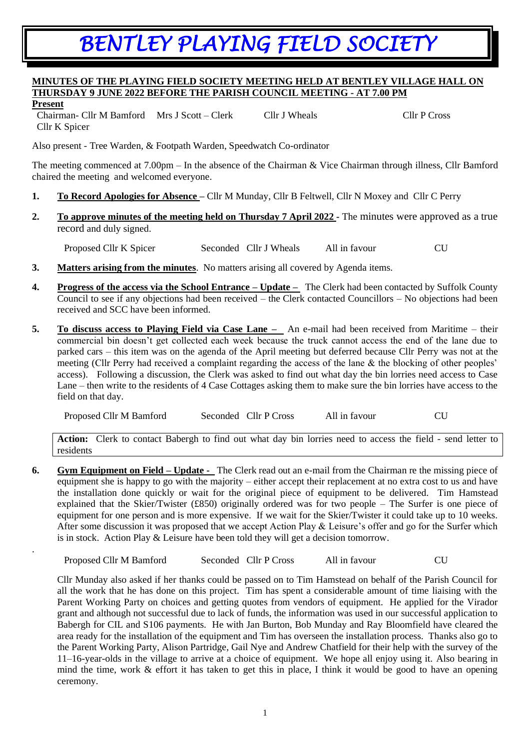## *BENTLEY PLAYING FIELD SOCIETY*

## **MINUTES OF THE PLAYING FIELD SOCIETY MEETING HELD AT BENTLEY VILLAGE HALL ON THURSDAY 9 JUNE 2022 BEFORE THE PARISH COUNCIL MEETING - AT 7.00 PM**

## **Present**

.

Chairman- Cllr M Bamford Mrs J Scott – Clerk Cllr J Wheals Cllr P Cross Cllr K Spicer

Also present - Tree Warden, & Footpath Warden, Speedwatch Co-ordinator

The meeting commenced at 7.00pm – In the absence of the Chairman & Vice Chairman through illness, Cllr Bamford chaired the meeting and welcomed everyone.

- **1. To Record Apologies for Absence –** Cllr M Munday, Cllr B Feltwell, Cllr N Moxey and Cllr C Perry
- **2. To approve minutes of the meeting held on Thursday 7 April 2022 -** The minutes were approved as a true record and duly signed.

Proposed Cllr K Spicer Seconded Cllr J Wheals All in favour CU

- **3. Matters arising from the minutes**. No matters arising all covered by Agenda items.
- **4. Progress of the access via the School Entrance – Update –** The Clerk had been contacted by Suffolk County Council to see if any objections had been received – the Clerk contacted Councillors – No objections had been received and SCC have been informed.
- **5. To discuss access to Playing Field via Case Lane –** An e-mail had been received from Maritime their commercial bin doesn't get collected each week because the truck cannot access the end of the lane due to parked cars – this item was on the agenda of the April meeting but deferred because Cllr Perry was not at the meeting (Cllr Perry had received a complaint regarding the access of the lane & the blocking of other peoples' access). Following a discussion, the Clerk was asked to find out what day the bin lorries need access to Case Lane – then write to the residents of 4 Case Cottages asking them to make sure the bin lorries have access to the field on that day.

Proposed Cllr M Bamford Seconded Cllr P Cross All in favour CU

**Action:** Clerk to contact Babergh to find out what day bin lorries need to access the field - send letter to residents

**6. Gym Equipment on Field – Update** - The Clerk read out an e-mail from the Chairman re the missing piece of equipment she is happy to go with the majority – either accept their replacement at no extra cost to us and have the installation done quickly or wait for the original piece of equipment to be delivered. Tim Hamstead explained that the Skier/Twister (£850) originally ordered was for two people – The Surfer is one piece of equipment for one person and is more expensive. If we wait for the Skier/Twister it could take up to 10 weeks. After some discussion it was proposed that we accept Action Play & Leisure's offer and go for the Surfer which is in stock. Action Play & Leisure have been told they will get a decision tomorrow.

Proposed Cllr M Bamford Seconded Cllr P Cross All in favour CU

Cllr Munday also asked if her thanks could be passed on to Tim Hamstead on behalf of the Parish Council for all the work that he has done on this project. Tim has spent a considerable amount of time liaising with the Parent Working Party on choices and getting quotes from vendors of equipment. He applied for the Virador grant and although not successful due to lack of funds, the information was used in our successful application to Babergh for CIL and S106 payments. He with Jan Burton, Bob Munday and Ray Bloomfield have cleared the area ready for the installation of the equipment and Tim has overseen the installation process. Thanks also go to the Parent Working Party, Alison Partridge, Gail Nye and Andrew Chatfield for their help with the survey of the 11–16-year-olds in the village to arrive at a choice of equipment. We hope all enjoy using it. Also bearing in mind the time, work & effort it has taken to get this in place, I think it would be good to have an opening ceremony.